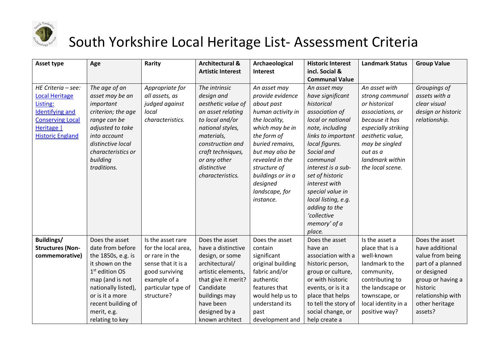

## South Yorkshire Local Heritage List- Assessment Criteria

| Asset type              | Age                        | Rarity              | <b>Architectural &amp;</b> | Archaeological    | <b>Historic Interest</b> | <b>Landmark Status</b> | <b>Group Value</b> |
|-------------------------|----------------------------|---------------------|----------------------------|-------------------|--------------------------|------------------------|--------------------|
|                         |                            |                     | <b>Artistic Interest</b>   | Interest          | incl. Social &           |                        |                    |
|                         |                            |                     |                            |                   | <b>Communal Value</b>    |                        |                    |
| HE Criteria - see:      | The age of an              | Appropriate for     | The intrinsic              | An asset may      | An asset may             | An asset with          | Groupings of       |
| <b>Local Heritage</b>   | asset may be an            | all assets, as      | design and                 | provide evidence  | have significant         | strong communal        | assets with a      |
| Listing:                | important                  | judged against      | aesthetic value of         | about past        | historical               | or historical          | clear visual       |
| <b>Identifying and</b>  | criterion; the age         | local               | an asset relating          | human activity in | association of           | associations, or       | design or historic |
| <b>Conserving Local</b> | range can be               | characteristics.    | to local and/or            | the locality,     | local or national        | because it has         | relationship.      |
| Heritage                | adjusted to take           |                     | national styles,           | which may be in   | note, including          | especially striking    |                    |
| <b>Historic England</b> | into account               |                     | materials,                 | the form of       | links to important       | aesthetic value,       |                    |
|                         | distinctive local          |                     | construction and           | buried remains,   | local figures.           | may be singled         |                    |
|                         | characteristics or         |                     | craft techniques,          | but may also be   | Social and               | out as a               |                    |
|                         | building                   |                     | or any other               | revealed in the   | communal                 | landmark within        |                    |
|                         | traditions.                |                     | distinctive                | structure of      | interest is a sub-       | the local scene.       |                    |
|                         |                            |                     | characteristics.           | buildings or in a | set of historic          |                        |                    |
|                         |                            |                     |                            | designed          | interest with            |                        |                    |
|                         |                            |                     |                            | landscape, for    | special value in         |                        |                    |
|                         |                            |                     |                            | instance.         | local listing, e.g.      |                        |                    |
|                         |                            |                     |                            |                   | adding to the            |                        |                    |
|                         |                            |                     |                            |                   | 'collective              |                        |                    |
|                         |                            |                     |                            |                   | memory' of a             |                        |                    |
|                         |                            |                     |                            |                   | place.                   |                        |                    |
| Buildings/              | Does the asset             | Is the asset rare   | Does the asset             | Does the asset    | Does the asset           | Is the asset a         | Does the asset     |
| <b>Structures (Non-</b> | date from before           | for the local area, | have a distinctive         | contain           | have an                  | place that is a        | have additional    |
| commemorative)          | the 1850s, e.g. is         | or rare in the      | design, or some            | significant       | association with a       | well-known             | value from being   |
|                         | it shown on the            | sense that it is a  | architectural/             | original building | historic person,         | landmark to the        | part of a planned  |
|                         | 1 <sup>st</sup> edition OS | good surviving      | artistic elements,         | fabric and/or     | group or culture,        | community,             | or designed        |
|                         | map (and is not            | example of a        | that give it merit?        | authentic         | or with historic         | contributing to        | group or having a  |
|                         | nationally listed),        | particular type of  | Candidate                  | features that     | events, or is it a       | the landscape or       | historic           |
|                         | or is it a more            | structure?          | buildings may              | would help us to  | place that helps         | townscape, or          | relationship with  |
|                         | recent building of         |                     | have been                  | understand its    | to tell the story of     | local identity in a    | other heritage     |
|                         | merit, e.g.                |                     | designed by a              | past              | social change, or        | positive way?          | assets?            |
|                         | relating to key            |                     | known architect            | development and   | help create a            |                        |                    |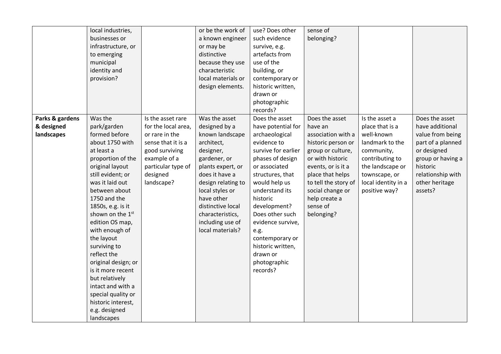|                 | local industries,            |                     | or be the work of  | use? Does other     | sense of             |                     |                   |
|-----------------|------------------------------|---------------------|--------------------|---------------------|----------------------|---------------------|-------------------|
|                 | businesses or                |                     |                    | such evidence       | belonging?           |                     |                   |
|                 |                              |                     | a known engineer   |                     |                      |                     |                   |
|                 | infrastructure, or           |                     | or may be          | survive, e.g.       |                      |                     |                   |
|                 | to emerging                  |                     | distinctive        | artefacts from      |                      |                     |                   |
|                 | municipal                    |                     | because they use   | use of the          |                      |                     |                   |
|                 | identity and                 |                     | characteristic     | building, or        |                      |                     |                   |
|                 | provision?                   |                     | local materials or | contemporary or     |                      |                     |                   |
|                 |                              |                     | design elements.   | historic written,   |                      |                     |                   |
|                 |                              |                     |                    | drawn or            |                      |                     |                   |
|                 |                              |                     |                    | photographic        |                      |                     |                   |
|                 |                              |                     |                    | records?            |                      |                     |                   |
| Parks & gardens | Was the                      | Is the asset rare   | Was the asset      | Does the asset      | Does the asset       | Is the asset a      | Does the asset    |
| & designed      | park/garden                  | for the local area, | designed by a      | have potential for  | have an              | place that is a     | have additional   |
| landscapes      | formed before                | or rare in the      | known landscape    | archaeological      | association with a   | well-known          | value from being  |
|                 | about 1750 with              | sense that it is a  | architect,         | evidence to         | historic person or   | landmark to the     | part of a planned |
|                 | at least a                   | good surviving      | designer,          | survive for earlier | group or culture,    | community,          | or designed       |
|                 | proportion of the            | example of a        | gardener, or       | phases of design    | or with historic     | contributing to     | group or having a |
|                 | original layout              | particular type of  | plants expert, or  | or associated       | events, or is it a   | the landscape or    | historic          |
|                 | still evident; or            | designed            | does it have a     | structures, that    | place that helps     | townscape, or       | relationship with |
|                 | was it laid out              | landscape?          | design relating to | would help us       | to tell the story of | local identity in a | other heritage    |
|                 | between about                |                     | local styles or    | understand its      | social change or     | positive way?       | assets?           |
|                 | 1750 and the                 |                     | have other         | historic            | help create a        |                     |                   |
|                 | 1850s, e.g. is it            |                     | distinctive local  | development?        | sense of             |                     |                   |
|                 | shown on the 1 <sup>st</sup> |                     | characteristics,   | Does other such     | belonging?           |                     |                   |
|                 | edition OS map,              |                     | including use of   | evidence survive,   |                      |                     |                   |
|                 | with enough of               |                     | local materials?   | e.g.                |                      |                     |                   |
|                 | the layout                   |                     |                    | contemporary or     |                      |                     |                   |
|                 | surviving to                 |                     |                    | historic written,   |                      |                     |                   |
|                 | reflect the                  |                     |                    | drawn or            |                      |                     |                   |
|                 | original design; or          |                     |                    | photographic        |                      |                     |                   |
|                 | is it more recent            |                     |                    | records?            |                      |                     |                   |
|                 | but relatively               |                     |                    |                     |                      |                     |                   |
|                 | intact and with a            |                     |                    |                     |                      |                     |                   |
|                 | special quality or           |                     |                    |                     |                      |                     |                   |
|                 | historic interest,           |                     |                    |                     |                      |                     |                   |
|                 | e.g. designed                |                     |                    |                     |                      |                     |                   |
|                 | landscapes                   |                     |                    |                     |                      |                     |                   |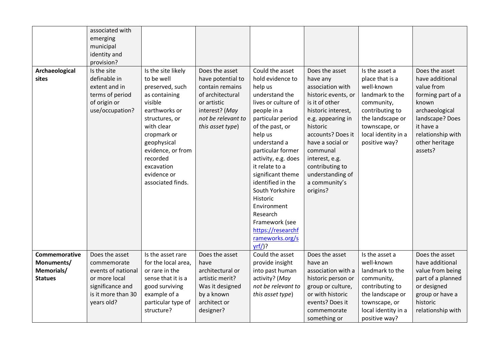|                | associated with    |                     |                    |                     |                     |                     |                   |
|----------------|--------------------|---------------------|--------------------|---------------------|---------------------|---------------------|-------------------|
|                | emerging           |                     |                    |                     |                     |                     |                   |
|                | municipal          |                     |                    |                     |                     |                     |                   |
|                | identity and       |                     |                    |                     |                     |                     |                   |
|                | provision?         |                     |                    |                     |                     |                     |                   |
| Archaeological | Is the site        | Is the site likely  | Does the asset     | Could the asset     | Does the asset      | Is the asset a      | Does the asset    |
| sites          | definable in       | to be well          | have potential to  | hold evidence to    | have any            | place that is a     | have additional   |
|                | extent and in      | preserved, such     | contain remains    | help us             | association with    | well-known          | value from        |
|                | terms of period    | as containing       | of architectural   | understand the      | historic events, or | landmark to the     | forming part of a |
|                | of origin or       | visible             | or artistic        | lives or culture of | is it of other      | community,          | known             |
|                | use/occupation?    | earthworks or       | interest? (May     | people in a         | historic interest,  | contributing to     | archaeological    |
|                |                    | structures, or      | not be relevant to | particular period   | e.g. appearing in   | the landscape or    | landscape? Does   |
|                |                    | with clear          | this asset type)   | of the past, or     | historic            | townscape, or       | it have a         |
|                |                    | cropmark or         |                    | help us             | accounts? Does it   | local identity in a | relationship with |
|                |                    | geophysical         |                    | understand a        | have a social or    | positive way?       | other heritage    |
|                |                    | evidence, or from   |                    | particular former   | communal            |                     | assets?           |
|                |                    | recorded            |                    | activity, e.g. does | interest, e.g.      |                     |                   |
|                |                    | excavation          |                    | it relate to a      | contributing to     |                     |                   |
|                |                    | evidence or         |                    | significant theme   | understanding of    |                     |                   |
|                |                    | associated finds.   |                    | identified in the   | a community's       |                     |                   |
|                |                    |                     |                    | South Yorkshire     | origins?            |                     |                   |
|                |                    |                     |                    | Historic            |                     |                     |                   |
|                |                    |                     |                    | Environment         |                     |                     |                   |
|                |                    |                     |                    | Research            |                     |                     |                   |
|                |                    |                     |                    | Framework (see      |                     |                     |                   |
|                |                    |                     |                    | https://researchf   |                     |                     |                   |
|                |                    |                     |                    | rameworks.org/s     |                     |                     |                   |
|                |                    |                     |                    | $yrf$ )?            |                     |                     |                   |
| Commemorative  | Does the asset     | Is the asset rare   | Does the asset     | Could the asset     | Does the asset      | Is the asset a      | Does the asset    |
| Monuments/     | commemorate        | for the local area, | have               | provide insight     | have an             | well-known          | have additional   |
| Memorials/     | events of national | or rare in the      | architectural or   | into past human     | association with a  | landmark to the     | value from being  |
| <b>Statues</b> | or more local      | sense that it is a  | artistic merit?    | activity? (May      | historic person or  | community,          | part of a planned |
|                | significance and   | good surviving      | Was it designed    | not be relevant to  | group or culture,   | contributing to     | or designed       |
|                | is it more than 30 | example of a        | by a known         | this asset type)    | or with historic    | the landscape or    | group or have a   |
|                | years old?         | particular type of  | architect or       |                     | events? Does it     | townscape, or       | historic          |
|                |                    | structure?          | designer?          |                     | commemorate         | local identity in a | relationship with |
|                |                    |                     |                    |                     | something or        | positive way?       |                   |